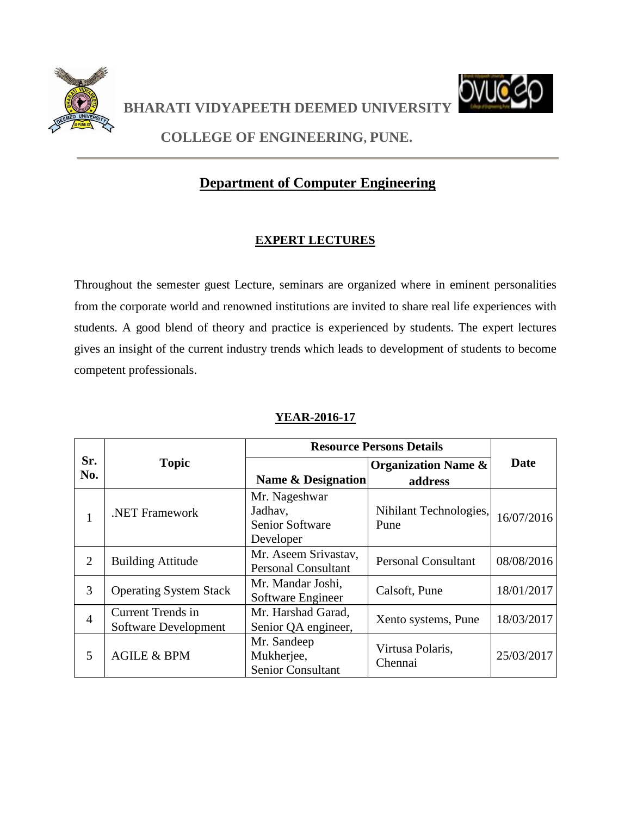

**BHARATI VIDYAPEETH DEEMED UNIVERSITY** 



**COLLEGE OF ENGINEERING, PUNE.**

# **Department of Computer Engineering**

### **EXPERT LECTURES**

Throughout the semester guest Lecture, seminars are organized where in eminent personalities from the corporate world and renowned institutions are invited to share real life experiences with students. A good blend of theory and practice is experienced by students. The expert lectures gives an insight of the current industry trends which leads to development of students to become competent professionals.

|                |                                                  |                                                          | <b>Resource Persons Details</b> |            |
|----------------|--------------------------------------------------|----------------------------------------------------------|---------------------------------|------------|
| Sr.            | <b>Topic</b>                                     |                                                          | <b>Organization Name &amp;</b>  | Date       |
| No.            |                                                  | <b>Name &amp; Designation</b>                            | address                         |            |
| $\mathbf{1}$   | <b>NET Framework</b>                             | Mr. Nageshwar<br>Jadhav,<br>Senior Software<br>Developer | Nihilant Technologies,<br>Pune  | 16/07/2016 |
| $\overline{2}$ | <b>Building Attitude</b>                         | Mr. Aseem Srivastav,<br><b>Personal Consultant</b>       | <b>Personal Consultant</b>      | 08/08/2016 |
| 3              | <b>Operating System Stack</b>                    | Mr. Mandar Joshi,<br>Software Engineer                   | Calsoft, Pune                   | 18/01/2017 |
| $\overline{4}$ | <b>Current Trends in</b><br>Software Development | Mr. Harshad Garad,<br>Senior QA engineer,                | Xento systems, Pune             | 18/03/2017 |
| 5              | <b>AGILE &amp; BPM</b>                           | Mr. Sandeep<br>Mukherjee,<br>Senior Consultant           | Virtusa Polaris,<br>Chennai     | 25/03/2017 |

#### **YEAR-2016-17**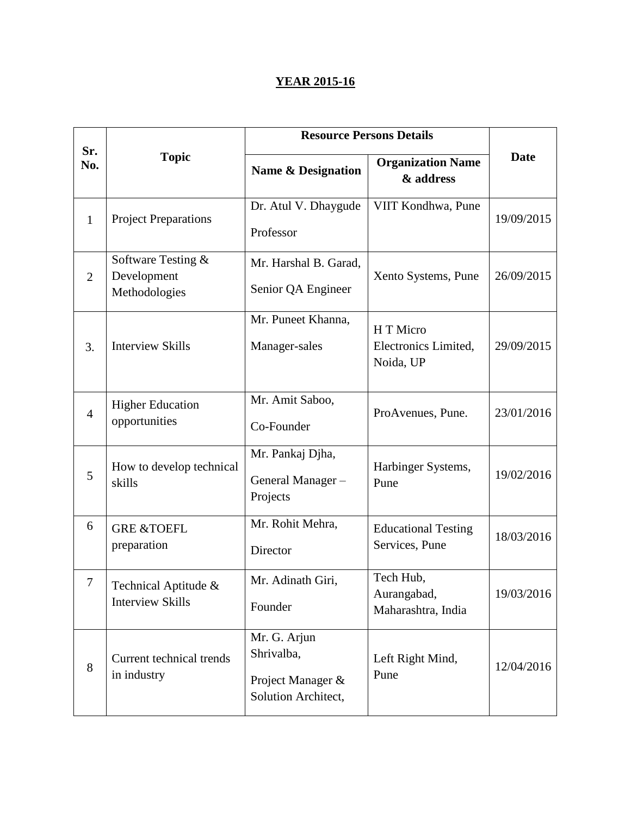### **YEAR 2015-16**

|                |                                                    | <b>Resource Persons Details</b>                                        |                                                |             |
|----------------|----------------------------------------------------|------------------------------------------------------------------------|------------------------------------------------|-------------|
| Sr.<br>No.     | <b>Topic</b>                                       | <b>Name &amp; Designation</b>                                          | <b>Organization Name</b><br>& address          | <b>Date</b> |
| $\mathbf{1}$   | <b>Project Preparations</b>                        | Dr. Atul V. Dhaygude<br>Professor                                      | VIIT Kondhwa, Pune                             | 19/09/2015  |
| 2              | Software Testing &<br>Development<br>Methodologies | Mr. Harshal B. Garad,<br>Senior QA Engineer                            | Xento Systems, Pune                            | 26/09/2015  |
| 3.             | <b>Interview Skills</b>                            | Mr. Puneet Khanna,<br>Manager-sales                                    | H T Micro<br>Electronics Limited,<br>Noida, UP | 29/09/2015  |
| $\overline{4}$ | <b>Higher Education</b><br>opportunities           | Mr. Amit Saboo,<br>Co-Founder                                          | ProAvenues, Pune.                              | 23/01/2016  |
| 5              | How to develop technical<br>skills                 | Mr. Pankaj Djha,<br>General Manager-<br>Projects                       | Harbinger Systems,<br>Pune                     | 19/02/2016  |
| 6              | <b>GRE &amp;TOEFL</b><br>preparation               | Mr. Rohit Mehra,<br>Director                                           | <b>Educational Testing</b><br>Services, Pune   | 18/03/2016  |
| 7              | Technical Aptitude &<br><b>Interview Skills</b>    | Mr. Adinath Giri,<br>Founder                                           | Tech Hub,<br>Aurangabad,<br>Maharashtra, India | 19/03/2016  |
| 8              | Current technical trends<br>in industry            | Mr. G. Arjun<br>Shrivalba,<br>Project Manager &<br>Solution Architect, | Left Right Mind,<br>Pune                       | 12/04/2016  |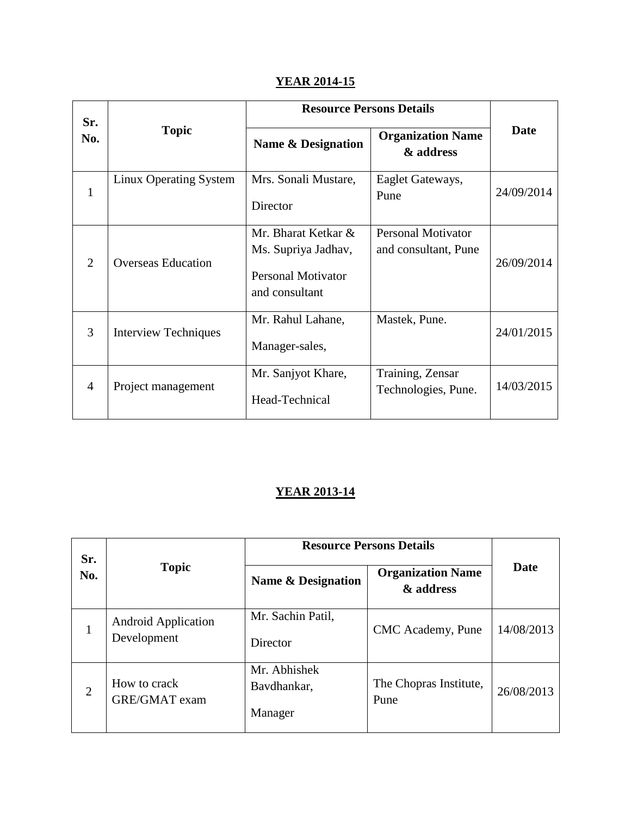## **YEAR 2014-15**

| Sr.            |                             | <b>Resource Persons Details</b>                                                           |                                                   |            |
|----------------|-----------------------------|-------------------------------------------------------------------------------------------|---------------------------------------------------|------------|
| No.            | <b>Topic</b>                | Name & Designation                                                                        | <b>Organization Name</b><br>& address             | Date       |
| $\mathbf{1}$   | Linux Operating System      | Mrs. Sonali Mustare,<br>Director                                                          | Eaglet Gateways,<br>Pune                          | 24/09/2014 |
| 2              | <b>Overseas Education</b>   | Mr. Bharat Ketkar &<br>Ms. Supriya Jadhav,<br><b>Personal Motivator</b><br>and consultant | <b>Personal Motivator</b><br>and consultant, Pune | 26/09/2014 |
| 3              | <b>Interview Techniques</b> | Mr. Rahul Lahane,<br>Manager-sales,                                                       | Mastek, Pune.                                     | 24/01/2015 |
| $\overline{A}$ | Project management          | Mr. Sanjyot Khare,<br>Head-Technical                                                      | Training, Zensar<br>Technologies, Pune.           | 14/03/2015 |

### **YEAR 2013-14**

| <b>Resource Persons Details</b><br>Sr.<br><b>Topic</b><br>No.<br><b>Name &amp; Designation</b><br>Mr. Sachin Patil,<br><b>Android Application</b> |                                       |                                        |                                |            |
|---------------------------------------------------------------------------------------------------------------------------------------------------|---------------------------------------|----------------------------------------|--------------------------------|------------|
|                                                                                                                                                   | <b>Organization Name</b><br>& address | Date                                   |                                |            |
|                                                                                                                                                   | Development                           | Director                               | CMC Academy, Pune              | 14/08/2013 |
| $\overline{2}$                                                                                                                                    | How to crack<br><b>GRE/GMAT</b> exam  | Mr. Abhishek<br>Bavdhankar,<br>Manager | The Chopras Institute,<br>Pune | 26/08/2013 |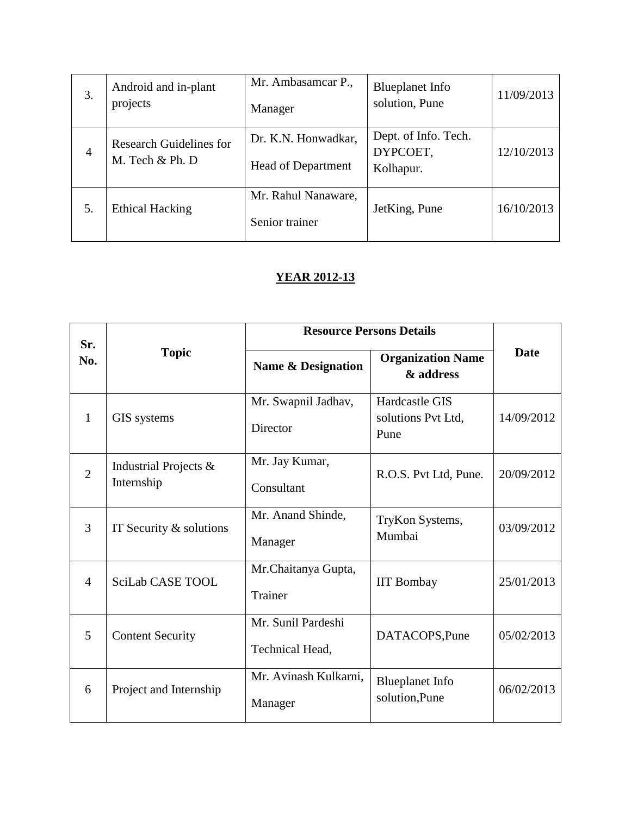| 3.             | Android and in-plant<br>projects                  | Mr. Ambasamcar P.,<br>Manager                    | <b>Blueplanet</b> Info<br>solution, Pune      | 11/09/2013 |
|----------------|---------------------------------------------------|--------------------------------------------------|-----------------------------------------------|------------|
| $\overline{4}$ | <b>Research Guidelines for</b><br>M. Tech & Ph. D | Dr. K.N. Honwadkar,<br><b>Head of Department</b> | Dept. of Info. Tech.<br>DYPCOET,<br>Kolhapur. | 12/10/2013 |
| 5.             | <b>Ethical Hacking</b>                            | Mr. Rahul Nanaware,<br>Senior trainer            | JetKing, Pune                                 | 16/10/2013 |

### **YEAR 2012-13**

|                |                                        | <b>Resource Persons Details</b>       |                                              |             |
|----------------|----------------------------------------|---------------------------------------|----------------------------------------------|-------------|
| Sr.<br>No.     | <b>Topic</b>                           | Name & Designation                    | <b>Organization Name</b><br>& address        | <b>Date</b> |
| 1              | GIS systems                            | Mr. Swapnil Jadhav,<br>Director       | Hardcastle GIS<br>solutions Pvt Ltd,<br>Pune | 14/09/2012  |
| $\overline{2}$ | Industrial Projects $\&$<br>Internship | Mr. Jay Kumar,<br>Consultant          | R.O.S. Pvt Ltd, Pune.                        | 20/09/2012  |
| 3              | IT Security $&$ solutions              | Mr. Anand Shinde,<br>Manager          | TryKon Systems,<br>Mumbai                    | 03/09/2012  |
| $\overline{4}$ | <b>SciLab CASE TOOL</b>                | Mr.Chaitanya Gupta,<br>Trainer        | <b>IIT Bombay</b>                            | 25/01/2013  |
| 5              | <b>Content Security</b>                | Mr. Sunil Pardeshi<br>Technical Head, | DATACOPS, Pune                               | 05/02/2013  |
| 6              | Project and Internship                 | Mr. Avinash Kulkarni,<br>Manager      | <b>Blueplanet Info</b><br>solution, Pune     | 06/02/2013  |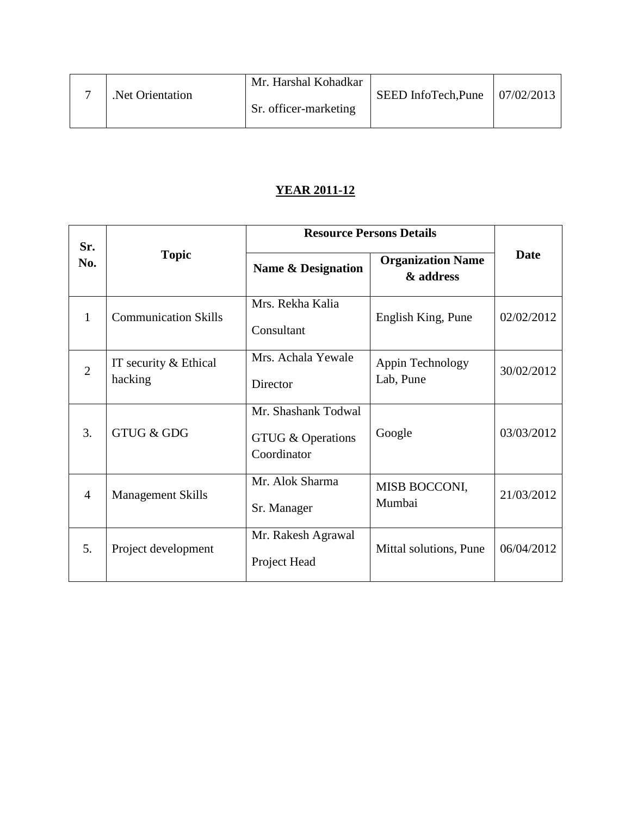|  |                  | Mr. Harshal Kohadkar  |                                    |  |
|--|------------------|-----------------------|------------------------------------|--|
|  | Net Orientation. |                       | SEED InfoTech, Pune   $07/02/2013$ |  |
|  |                  | Sr. officer-marketing |                                    |  |
|  |                  |                       |                                    |  |

### **YEAR 2011-12**

| Sr.            |                                  |                                                         | <b>Resource Persons Details</b>       |             |
|----------------|----------------------------------|---------------------------------------------------------|---------------------------------------|-------------|
| No.            | <b>Topic</b>                     | Name & Designation                                      | <b>Organization Name</b><br>& address | <b>Date</b> |
| $\mathbf{1}$   | <b>Communication Skills</b>      | Mrs. Rekha Kalia<br>Consultant                          | English King, Pune                    | 02/02/2012  |
| $\overline{2}$ | IT security & Ethical<br>hacking | Mrs. Achala Yewale<br>Director                          | Appin Technology<br>Lab, Pune         | 30/02/2012  |
| 3.             | <b>GTUG &amp; GDG</b>            | Mr. Shashank Todwal<br>GTUG & Operations<br>Coordinator | Google                                | 03/03/2012  |
| $\overline{4}$ | <b>Management Skills</b>         | Mr. Alok Sharma<br>Sr. Manager                          | MISB BOCCONI,<br>Mumbai               | 21/03/2012  |
| 5.             | Project development              | Mr. Rakesh Agrawal<br>Project Head                      | Mittal solutions, Pune                | 06/04/2012  |